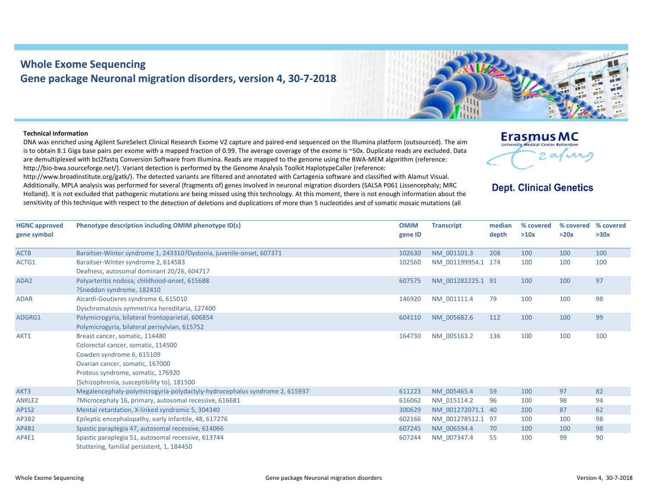## **Whole Exome Sequencing Gene package Neuronal migration disorders, version 4, 30‐7‐2018**

## **Technical information**

DNA was enriched using Agilent SureSelect Clinical Research Exome V2 capture and paired‐end sequenced on the Illumina platform (outsourced). The aim is to obtain 8.1 Giga base pairs per exome with <sup>a</sup> mapped fraction of 0.99. The average coverage of the exome is ~50x. Duplicate reads are excluded. Data are demultiplexed with bcl2fastq Conversion Software from Illumina. Reads are mapped to the genome using the BWA‐MEM algorithm (reference: http://bio-bwa.sourceforge.net/). Variant detection is performed by the Genome Analysis Toolkit HaplotypeCaller (reference:

http://www.broadinstitute.org/gatk/). The detected variants are filtered and annotated with Cartagenia software and classified with Alamut Visual. Additionally, MPLA analysis was performed for several (fragments of) genes involved in neuronal migration disorders (SALSA P061 Lissencephaly; MRC Holland). It is not excluded that pathogenic mutations are being missed using this technology. At this moment, there is not enough information about the sensitivity of this technique with respect to the detection of deletions and duplications of more than 5 nucleotides and of somatic mosaic mutations (all



## **Dept. Clinical Genetics**

| <b>HGNC approved</b><br>gene symbol | Phenotype description including OMIM phenotype ID(s)                                                                                                                                                                    | <b>OMIM</b><br>gene ID | <b>Transcript</b>  | median<br>depth | % covered<br>>10x | % covered<br>>20x | % covered<br>>30x |
|-------------------------------------|-------------------------------------------------------------------------------------------------------------------------------------------------------------------------------------------------------------------------|------------------------|--------------------|-----------------|-------------------|-------------------|-------------------|
| <b>ACTB</b>                         | Baraitser-Winter syndrome 1, 243310?Dystonia, juvenile-onset, 607371                                                                                                                                                    | 102630                 | NM 001101.3        | 208             | 100               | 100               | 100               |
| ACTG1                               | Baraitser-Winter syndrome 2, 614583<br>Deafness, autosomal dominant 20/26, 604717                                                                                                                                       | 102560                 | NM 001199954.1 174 |                 | 100               | 100               | 100               |
| ADA <sub>2</sub>                    | Polyarteritis nodosa, childhood-onset, 615688<br>?Sneddon syndrome, 182410                                                                                                                                              | 607575                 | NM 001282225.1 91  |                 | 100               | 100               | 97                |
| <b>ADAR</b>                         | Aicardi-Goutieres syndrome 6, 615010<br>Dyschromatosis symmetrica hereditaria, 127400                                                                                                                                   | 146920                 | NM 001111.4        | 79              | 100               | 100               | 98                |
| ADGRG1                              | Polymicrogyria, bilateral frontoparietal, 606854<br>Polymicrogyria, bilateral perisylvian, 615752                                                                                                                       | 604110                 | NM 005682.6        | 112             | 100               | 100               | 99                |
| AKT1                                | Breast cancer, somatic, 114480<br>Colorectal cancer, somatic, 114500<br>Cowden syndrome 6, 615109<br>Ovarian cancer, somatic, 167000<br>Proteus syndrome, somatic, 176920<br>{Schizophrenia, susceptibility to}, 181500 | 164730                 | NM 005163.2        | 136             | 100               | 100               | 100               |
| AKT3                                | Megalencephaly-polymicrogyria-polydactyly-hydrocephalus syndrome 2, 615937                                                                                                                                              | 611223                 | NM 005465.4        | 59              | 100               | 97                | 82                |
| <b>ANKLE2</b>                       | ?Microcephaly 16, primary, autosomal recessive, 616681                                                                                                                                                                  | 616062                 | NM 015114.2        | 96              | 100               | 98                | 94                |
| <b>AP1S2</b>                        | Mental retardation, X-linked syndromic 5, 304340                                                                                                                                                                        | 300629                 | NM 001272071.1 40  |                 | 100               | 87                | 62                |
| AP3B2                               | Epileptic encephalopathy, early infantile, 48, 617276                                                                                                                                                                   | 602166                 | NM 001278512.1 97  |                 | 100               | 100               | 98                |
| AP4B1                               | Spastic paraplegia 47, autosomal recessive, 614066                                                                                                                                                                      | 607245                 | NM 006594.4        | 70              | 100               | 100               | 98                |
| AP4E1                               | Spastic paraplegia 51, autosomal recessive, 613744<br>Stuttering, familial persistent, 1, 184450                                                                                                                        | 607244                 | NM 007347.4        | 55              | 100               | 99                | 90                |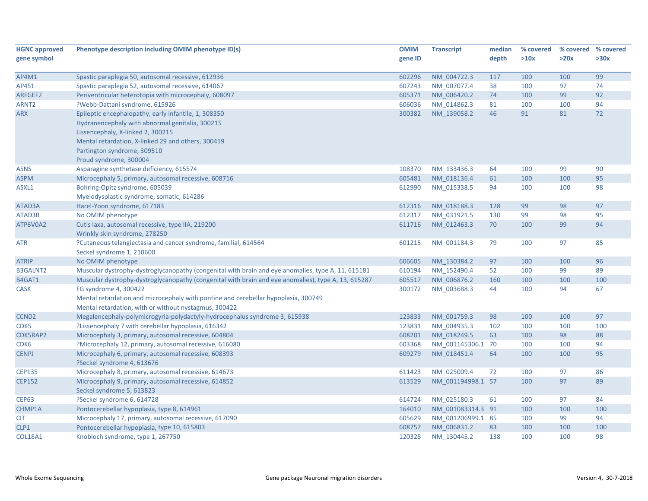| <b>HGNC approved</b> | Phenotype description including OMIM phenotype ID(s)                                                                                                                                                                                                        | <b>OMIM</b> | <b>Transcript</b> | median | % covered | % covered % covered |      |
|----------------------|-------------------------------------------------------------------------------------------------------------------------------------------------------------------------------------------------------------------------------------------------------------|-------------|-------------------|--------|-----------|---------------------|------|
| gene symbol          |                                                                                                                                                                                                                                                             | gene ID     |                   | depth  | >10x      | >20x                | >30x |
|                      |                                                                                                                                                                                                                                                             |             |                   |        |           |                     |      |
| AP4M1                | Spastic paraplegia 50, autosomal recessive, 612936                                                                                                                                                                                                          | 602296      | NM_004722.3       | 117    | 100       | 100                 | 99   |
| AP4S1                | Spastic paraplegia 52, autosomal recessive, 614067                                                                                                                                                                                                          | 607243      | NM_007077.4       | 38     | 100       | 97                  | 74   |
| ARFGEF2              | Periventricular heterotopia with microcephaly, 608097                                                                                                                                                                                                       | 605371      | NM 006420.2       | 74     | 100       | 99                  | 92   |
| ARNT <sub>2</sub>    | ?Webb-Dattani syndrome, 615926                                                                                                                                                                                                                              | 606036      | NM 014862.3       | 81     | 100       | 100                 | 94   |
| <b>ARX</b>           | Epileptic encephalopathy, early infantile, 1, 308350<br>Hydranencephaly with abnormal genitalia, 300215<br>Lissencephaly, X-linked 2, 300215<br>Mental retardation, X-linked 29 and others, 300419<br>Partington syndrome, 309510<br>Proud syndrome, 300004 | 300382      | NM_139058.2       | 46     | 91        | 81                  | 72   |
| <b>ASNS</b>          | Asparagine synthetase deficiency, 615574                                                                                                                                                                                                                    | 108370      | NM_133436.3       | 64     | 100       | 99                  | 90   |
| <b>ASPM</b>          | Microcephaly 5, primary, autosomal recessive, 608716                                                                                                                                                                                                        | 605481      | NM 018136.4       | 61     | 100       | 100                 | 95   |
| ASXL1                | Bohring-Opitz syndrome, 605039<br>Myelodysplastic syndrome, somatic, 614286                                                                                                                                                                                 | 612990      | NM_015338.5       | 94     | 100       | 100                 | 98   |
| ATAD3A               | Harel-Yoon syndrome, 617183                                                                                                                                                                                                                                 | 612316      | NM_018188.3       | 128    | 99        | 98                  | 97   |
| ATAD3B               | No OMIM phenotype                                                                                                                                                                                                                                           | 612317      | NM 031921.5       | 130    | 99        | 98                  | 95   |
| ATP6V0A2             | Cutis laxa, autosomal recessive, type IIA, 219200<br>Wrinkly skin syndrome, 278250                                                                                                                                                                          | 611716      | NM 012463.3       | 70     | 100       | 99                  | 94   |
| <b>ATR</b>           | ?Cutaneous telangiectasia and cancer syndrome, familial, 614564<br>Seckel syndrome 1, 210600                                                                                                                                                                | 601215      | NM_001184.3       | 79     | 100       | 97                  | 85   |
| <b>ATRIP</b>         | No OMIM phenotype                                                                                                                                                                                                                                           | 606605      | NM 130384.2       | 97     | 100       | 100                 | 96   |
| <b>B3GALNT2</b>      | Muscular dystrophy-dystroglycanopathy (congenital with brain and eye anomalies, type A, 11, 615181                                                                                                                                                          | 610194      | NM 152490.4       | 52     | 100       | 99                  | 89   |
| B4GAT1               | Muscular dystrophy-dystroglycanopathy (congenital with brain and eye anomalies), type A, 13, 615287                                                                                                                                                         | 605517      | NM 006876.2       | 160    | 100       | 100                 | 100  |
| <b>CASK</b>          | FG syndrome 4, 300422<br>Mental retardation and microcephaly with pontine and cerebellar hypoplasia, 300749<br>Mental retardation, with or without nystagmus, 300422                                                                                        | 300172      | NM 003688.3       | 44     | 100       | 94                  | 67   |
| CCND <sub>2</sub>    | Megalencephaly-polymicrogyria-polydactyly-hydrocephalus syndrome 3, 615938                                                                                                                                                                                  | 123833      | NM 001759.3       | 98     | 100       | 100                 | 97   |
| CDK5                 | ?Lissencephaly 7 with cerebellar hypoplasia, 616342                                                                                                                                                                                                         | 123831      | NM 004935.3       | 102    | 100       | 100                 | 100  |
| CDK5RAP2             | Microcephaly 3, primary, autosomal recessive, 604804                                                                                                                                                                                                        | 608201      | NM 018249.5       | 63     | 100       | 98                  | 88   |
| CDK <sub>6</sub>     | ?Microcephaly 12, primary, autosomal recessive, 616080                                                                                                                                                                                                      | 603368      | NM_001145306.1 70 |        | 100       | 100                 | 94   |
| <b>CENPJ</b>         | Microcephaly 6, primary, autosomal recessive, 608393<br>?Seckel syndrome 4, 613676                                                                                                                                                                          | 609279      | NM 018451.4       | 64     | 100       | 100                 | 95   |
| <b>CEP135</b>        | Microcephaly 8, primary, autosomal recessive, 614673                                                                                                                                                                                                        | 611423      | NM_025009.4       | 72     | 100       | 97                  | 86   |
| <b>CEP152</b>        | Microcephaly 9, primary, autosomal recessive, 614852<br>Seckel syndrome 5, 613823                                                                                                                                                                           | 613529      | NM 001194998.1 57 |        | 100       | 97                  | 89   |
| <b>CEP63</b>         | ?Seckel syndrome 6, 614728                                                                                                                                                                                                                                  | 614724      | NM 025180.3       | 61     | 100       | 97                  | 84   |
| CHMP1A               | Pontocerebellar hypoplasia, type 8, 614961                                                                                                                                                                                                                  | 164010      | NM 001083314.3 91 |        | 100       | 100                 | 100  |
| <b>CIT</b>           | Microcephaly 17, primary, autosomal recessive, 617090                                                                                                                                                                                                       | 605629      | NM 001206999.1 85 |        | 100       | 99                  | 94   |
| CLP1                 | Pontocerebellar hypoplasia, type 10, 615803                                                                                                                                                                                                                 | 608757      | NM_006831.2       | 83     | 100       | 100                 | 100  |
| <b>COL18A1</b>       | Knobloch syndrome, type 1, 267750                                                                                                                                                                                                                           | 120328      | NM 130445.2       | 138    | 100       | 100                 | 98   |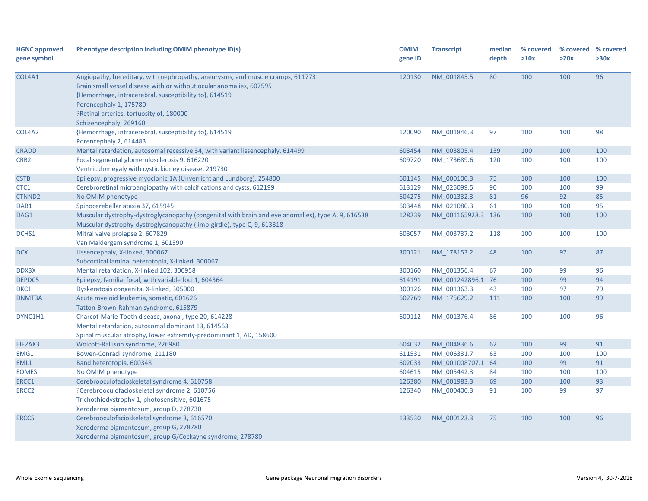| <b>HGNC approved</b> | Phenotype description including OMIM phenotype ID(s)                                               | <b>OMIM</b> | <b>Transcript</b>  | median | % covered | % covered % covered |      |
|----------------------|----------------------------------------------------------------------------------------------------|-------------|--------------------|--------|-----------|---------------------|------|
| gene symbol          |                                                                                                    | gene ID     |                    | depth  | >10x      | >20x                | >30x |
|                      |                                                                                                    |             |                    |        |           |                     |      |
| COL4A1               | Angiopathy, hereditary, with nephropathy, aneurysms, and muscle cramps, 611773                     | 120130      | NM_001845.5        | 80     | 100       | 100                 | 96   |
|                      | Brain small vessel disease with or without ocular anomalies, 607595                                |             |                    |        |           |                     |      |
|                      | {Hemorrhage, intracerebral, susceptibility to}, 614519                                             |             |                    |        |           |                     |      |
|                      | Porencephaly 1, 175780                                                                             |             |                    |        |           |                     |      |
|                      | ?Retinal arteries, tortuosity of, 180000                                                           |             |                    |        |           |                     |      |
|                      | Schizencephaly, 269160                                                                             |             |                    |        |           |                     |      |
| COL4A2               | {Hemorrhage, intracerebral, susceptibility to}, 614519<br>Porencephaly 2, 614483                   | 120090      | NM 001846.3        | 97     | 100       | 100                 | 98   |
| <b>CRADD</b>         | Mental retardation, autosomal recessive 34, with variant lissencephaly, 614499                     | 603454      | NM_003805.4        | 139    | 100       | 100                 | 100  |
| CRB <sub>2</sub>     | Focal segmental glomerulosclerosis 9, 616220                                                       | 609720      | NM 173689.6        | 120    | 100       | 100                 | 100  |
|                      | Ventriculomegaly with cystic kidney disease, 219730                                                |             |                    |        |           |                     |      |
| <b>CSTB</b>          | Epilepsy, progressive myoclonic 1A (Unverricht and Lundborg), 254800                               | 601145      | NM_000100.3        | 75     | 100       | 100                 | 100  |
| CTC1                 | Cerebroretinal microangiopathy with calcifications and cysts, 612199                               | 613129      | NM_025099.5        | 90     | 100       | 100                 | 99   |
| CTNND <sub>2</sub>   | No OMIM phenotype                                                                                  | 604275      | NM 001332.3        | 81     | 96        | 92                  | 85   |
| DAB1                 | Spinocerebellar ataxia 37, 615945                                                                  | 603448      | NM 021080.3        | 61     | 100       | 100                 | 95   |
| DAG1                 | Muscular dystrophy-dystroglycanopathy (congenital with brain and eye anomalies), type A, 9, 616538 | 128239      | NM_001165928.3 136 |        | 100       | 100                 | 100  |
|                      | Muscular dystrophy-dystroglycanopathy (limb-girdle), type C, 9, 613818                             |             |                    |        |           |                     |      |
| DCHS1                | Mitral valve prolapse 2, 607829                                                                    | 603057      | NM_003737.2        | 118    | 100       | 100                 | 100  |
|                      | Van Maldergem syndrome 1, 601390                                                                   |             |                    |        |           |                     |      |
| <b>DCX</b>           | Lissencephaly, X-linked, 300067                                                                    | 300121      | NM_178153.2        | 48     | 100       | 97                  | 87   |
|                      | Subcortical laminal heterotopia, X-linked, 300067                                                  |             |                    |        |           |                     |      |
| DDX3X                | Mental retardation, X-linked 102, 300958                                                           | 300160      | NM 001356.4        | 67     | 100       | 99                  | 96   |
| DEPDC5               | Epilepsy, familial focal, with variable foci 1, 604364                                             | 614191      | NM_001242896.1 76  |        | 100       | 99                  | 94   |
| DKC1                 | Dyskeratosis congenita, X-linked, 305000                                                           | 300126      | NM_001363.3        | 43     | 100       | 97                  | 79   |
| DNMT3A               | Acute myeloid leukemia, somatic, 601626                                                            | 602769      | NM 175629.2        | 111    | 100       | 100                 | 99   |
|                      | Tatton-Brown-Rahman syndrome, 615879                                                               |             |                    |        |           |                     |      |
| DYNC1H1              | Charcot-Marie-Tooth disease, axonal, type 20, 614228                                               | 600112      | NM_001376.4        | 86     | 100       | 100                 | 96   |
|                      | Mental retardation, autosomal dominant 13, 614563                                                  |             |                    |        |           |                     |      |
|                      | Spinal muscular atrophy, lower extremity-predominant 1, AD, 158600                                 |             |                    |        |           |                     |      |
| EIF2AK3              | Wolcott-Rallison syndrome, 226980                                                                  | 604032      | NM_004836.6        | 62     | 100       | 99                  | 91   |
| EMG1                 | Bowen-Conradi syndrome, 211180                                                                     | 611531      | NM_006331.7        | 63     | 100       | 100                 | 100  |
| EML1                 | Band heterotopia, 600348                                                                           | 602033      | NM 001008707.1 64  |        | 100       | 99                  | 91   |
| <b>EOMES</b>         | No OMIM phenotype                                                                                  | 604615      | NM 005442.3        | 84     | 100       | 100                 | 100  |
| ERCC1                | Cerebrooculofacioskeletal syndrome 4, 610758                                                       | 126380      | NM_001983.3        | 69     | 100       | 100                 | 93   |
| ERCC <sub>2</sub>    | ?Cerebrooculofacioskeletal syndrome 2, 610756                                                      | 126340      | NM_000400.3        | 91     | 100       | 99                  | 97   |
|                      | Trichothiodystrophy 1, photosensitive, 601675                                                      |             |                    |        |           |                     |      |
|                      | Xeroderma pigmentosum, group D, 278730                                                             |             |                    |        |           |                     |      |
| ERCC5                | Cerebrooculofacioskeletal syndrome 3, 616570                                                       | 133530      | NM 000123.3        | 75     | 100       | 100                 | 96   |
|                      | Xeroderma pigmentosum, group G, 278780                                                             |             |                    |        |           |                     |      |
|                      | Xeroderma pigmentosum, group G/Cockayne syndrome, 278780                                           |             |                    |        |           |                     |      |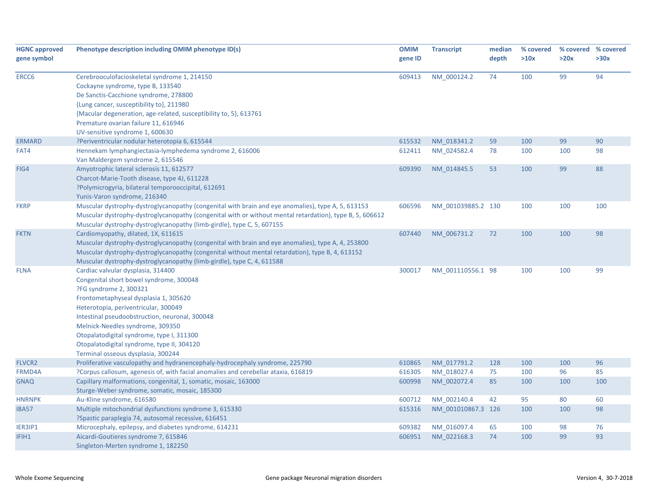| <b>HGNC approved</b><br>gene symbol | Phenotype description including OMIM phenotype ID(s)                                                     | <b>OMIM</b><br>gene ID | <b>Transcript</b>  | median<br>depth | % covered<br>>10x | >20x | % covered % covered<br>>30x |
|-------------------------------------|----------------------------------------------------------------------------------------------------------|------------------------|--------------------|-----------------|-------------------|------|-----------------------------|
|                                     |                                                                                                          |                        |                    |                 |                   |      |                             |
| ERCC6                               | Cerebrooculofacioskeletal syndrome 1, 214150                                                             | 609413                 | NM_000124.2        | 74              | 100               | 99   | 94                          |
|                                     | Cockayne syndrome, type B, 133540                                                                        |                        |                    |                 |                   |      |                             |
|                                     | De Sanctis-Cacchione syndrome, 278800                                                                    |                        |                    |                 |                   |      |                             |
|                                     | {Lung cancer, susceptibility to}, 211980                                                                 |                        |                    |                 |                   |      |                             |
|                                     | {Macular degeneration, age-related, susceptibility to, 5}, 613761                                        |                        |                    |                 |                   |      |                             |
|                                     | Premature ovarian failure 11, 616946                                                                     |                        |                    |                 |                   |      |                             |
|                                     | UV-sensitive syndrome 1, 600630                                                                          |                        |                    |                 |                   |      |                             |
| <b>ERMARD</b>                       | ?Periventricular nodular heterotopia 6, 615544                                                           | 615532                 | NM 018341.2        | 59              | 100               | 99   | 90                          |
| FAT4                                | Hennekam lymphangiectasia-lymphedema syndrome 2, 616006                                                  | 612411                 | NM 024582.4        | 78              | 100               | 100  | 98                          |
|                                     | Van Maldergem syndrome 2, 615546                                                                         |                        |                    |                 |                   |      |                             |
| FIG4                                | Amyotrophic lateral sclerosis 11, 612577                                                                 | 609390                 | NM_014845.5        | 53              | 100               | 99   | 88                          |
|                                     | Charcot-Marie-Tooth disease, type 4J, 611228                                                             |                        |                    |                 |                   |      |                             |
|                                     | ?Polymicrogyria, bilateral temporooccipital, 612691                                                      |                        |                    |                 |                   |      |                             |
|                                     | Yunis-Varon syndrome, 216340                                                                             |                        |                    |                 |                   |      |                             |
| <b>FKRP</b>                         | Muscular dystrophy-dystroglycanopathy (congenital with brain and eye anomalies), type A, 5, 613153       | 606596                 | NM 001039885.2 130 |                 | 100               | 100  | 100                         |
|                                     | Muscular dystrophy-dystroglycanopathy (congenital with or without mental retardation), type B, 5, 606612 |                        |                    |                 |                   |      |                             |
|                                     | Muscular dystrophy-dystroglycanopathy (limb-girdle), type C, 5, 607155                                   |                        |                    |                 |                   |      |                             |
| <b>FKTN</b>                         | Cardiomyopathy, dilated, 1X, 611615                                                                      | 607440                 | NM 006731.2        | 72              | 100               | 100  | 98                          |
|                                     | Muscular dystrophy-dystroglycanopathy (congenital with brain and eye anomalies), type A, 4, 253800       |                        |                    |                 |                   |      |                             |
|                                     | Muscular dystrophy-dystroglycanopathy (congenital without mental retardation), type B, 4, 613152         |                        |                    |                 |                   |      |                             |
|                                     | Muscular dystrophy-dystroglycanopathy (limb-girdle), type C, 4, 611588                                   |                        |                    |                 |                   |      |                             |
| <b>FLNA</b>                         | Cardiac valvular dysplasia, 314400                                                                       | 300017                 | NM 001110556.1 98  |                 | 100               | 100  | 99                          |
|                                     | Congenital short bowel syndrome, 300048                                                                  |                        |                    |                 |                   |      |                             |
|                                     | ?FG syndrome 2, 300321                                                                                   |                        |                    |                 |                   |      |                             |
|                                     | Frontometaphyseal dysplasia 1, 305620                                                                    |                        |                    |                 |                   |      |                             |
|                                     | Heterotopia, periventricular, 300049                                                                     |                        |                    |                 |                   |      |                             |
|                                     | Intestinal pseudoobstruction, neuronal, 300048                                                           |                        |                    |                 |                   |      |                             |
|                                     | Melnick-Needles syndrome, 309350                                                                         |                        |                    |                 |                   |      |                             |
|                                     | Otopalatodigital syndrome, type I, 311300                                                                |                        |                    |                 |                   |      |                             |
|                                     | Otopalatodigital syndrome, type II, 304120                                                               |                        |                    |                 |                   |      |                             |
|                                     | Terminal osseous dysplasia, 300244                                                                       |                        |                    |                 |                   |      |                             |
| <b>FLVCR2</b>                       | Proliferative vasculopathy and hydranencephaly-hydrocephaly syndrome, 225790                             | 610865                 | NM 017791.2        | 128             | 100               | 100  | 96                          |
| FRMD4A                              | ?Corpus callosum, agenesis of, with facial anomalies and cerebellar ataxia, 616819                       | 616305                 | NM_018027.4        | 75              | 100               | 96   | 85                          |
| <b>GNAQ</b>                         | Capillary malformations, congenital, 1, somatic, mosaic, 163000                                          | 600998                 | NM_002072.4        | 85              | 100               | 100  | 100                         |
|                                     | Sturge-Weber syndrome, somatic, mosaic, 185300                                                           |                        |                    |                 |                   |      |                             |
| <b>HNRNPK</b>                       | Au-Kline syndrome, 616580                                                                                | 600712                 | NM_002140.4        | 42              | 95                | 80   | 60                          |
| IBA57                               | Multiple mitochondrial dysfunctions syndrome 3, 615330                                                   | 615316                 | NM_001010867.3 126 |                 | 100               | 100  | 98                          |
|                                     | ?Spastic paraplegia 74, autosomal recessive, 616451                                                      |                        |                    |                 |                   |      |                             |
| IER3IP1                             | Microcephaly, epilepsy, and diabetes syndrome, 614231                                                    | 609382                 | NM 016097.4        | 65              | 100               | 98   | 76                          |
| IFIH1                               | Aicardi-Goutieres syndrome 7, 615846                                                                     | 606951                 | NM_022168.3        | 74              | 100               | 99   | 93                          |
|                                     | Singleton-Merten syndrome 1, 182250                                                                      |                        |                    |                 |                   |      |                             |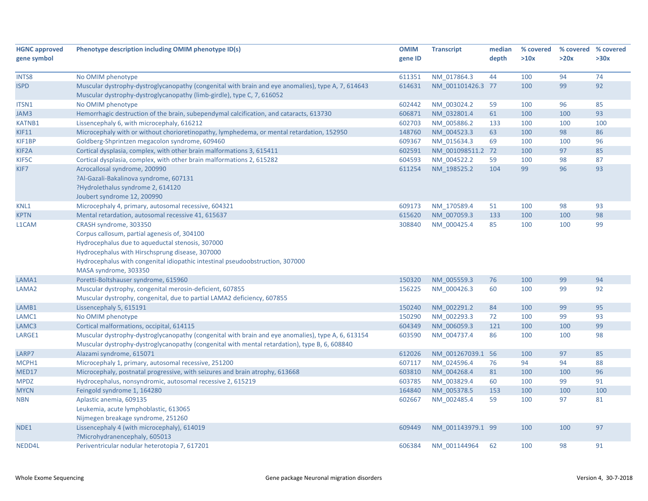| >10x<br>>30x<br>gene ID<br>depth<br>>20x<br>74<br>NM 017864.3<br>94<br>No OMIM phenotype<br>611351<br>44<br>100<br>99<br>92<br>Muscular dystrophy-dystroglycanopathy (congenital with brain and eye anomalies), type A, 7, 614643<br>614631<br>100<br>NM 001101426.3 77<br>Muscular dystrophy-dystroglycanopathy (limb-girdle), type C, 7, 616052<br>No OMIM phenotype<br>NM 003024.2<br>96<br>85<br>602442<br>59<br>100<br>Hemorrhagic destruction of the brain, subependymal calcification, and cataracts, 613730<br>606871<br>61<br>100<br>93<br>NM 032801.4<br>100<br>Lissencephaly 6, with microcephaly, 616212<br>602703<br>NM_005886.2<br>133<br>100<br>100<br>100<br>Microcephaly with or without chorioretinopathy, lymphedema, or mental retardation, 152950<br>148760<br>63<br>100<br>98<br>86<br>NM 004523.3<br>Goldberg-Shprintzen megacolon syndrome, 609460<br>100<br>609367<br>NM 015634.3<br>69<br>100<br>96<br>Cortical dysplasia, complex, with other brain malformations 3, 615411<br>602591<br>97<br>85<br>NM 001098511.2 72<br>100<br>Cortical dysplasia, complex, with other brain malformations 2, 615282<br>87<br>604593<br>NM 004522.2<br>59<br>100<br>98<br>96<br>93<br>Acrocallosal syndrome, 200990<br>611254<br>104<br>99<br>NM 198525.2<br>?Al-Gazali-Bakalinova syndrome, 607131<br>?Hydrolethalus syndrome 2, 614120<br>Joubert syndrome 12, 200990<br>Microcephaly 4, primary, autosomal recessive, 604321<br>98<br>93<br>609173<br>NM 170589.4<br>51<br>100<br>615620<br>NM 007059.3<br>133<br>100<br>98<br>Mental retardation, autosomal recessive 41, 615637<br>100<br>308840<br>NM_000425.4<br>85<br>100<br>99<br>CRASH syndrome, 303350<br>100<br>Corpus callosum, partial agenesis of, 304100<br>Hydrocephalus due to aqueductal stenosis, 307000<br>Hydrocephalus with Hirschsprung disease, 307000<br>Hydrocephalus with congenital idiopathic intestinal pseudoobstruction, 307000<br>MASA syndrome, 303350<br>Poretti-Boltshauser syndrome, 615960<br>150320<br>NM 005559.3<br>76<br>100<br>99<br>94<br>Muscular dystrophy, congenital merosin-deficient, 607855<br>92<br>156225<br>NM 000426.3<br>60<br>100<br>99<br>Muscular dystrophy, congenital, due to partial LAMA2 deficiency, 607855<br>95<br>Lissencephaly 5, 615191<br>150240<br>NM 002291.2<br>84<br>100<br>99<br>99<br>93<br>No OMIM phenotype<br>150290<br>NM 002293.3<br>72<br>100<br>100<br>99<br>Cortical malformations, occipital, 614115<br>604349<br>NM 006059.3<br>121<br>100<br>Muscular dystrophy-dystroglycanopathy (congenital with brain and eye anomalies), type A, 6, 613154<br>603590<br>NM 004737.4<br>86<br>100<br>98<br>100<br>Muscular dystrophy-dystroglycanopathy (congenital with mental retardation), type B, 6, 608840<br>97<br>85<br>Alazami syndrome, 615071<br>612026<br>NM 001267039.1 56<br>100<br>Microcephaly 1, primary, autosomal recessive, 251200<br>607117<br>NM 024596.4<br>76<br>94<br>94<br>88<br>96<br>Microcephaly, postnatal progressive, with seizures and brain atrophy, 613668<br>603810<br>NM 004268.4<br>81<br>100<br>100<br>Hydrocephalus, nonsyndromic, autosomal recessive 2, 615219<br>91<br><b>MPDZ</b><br>603785<br>NM 003829.4<br>60<br>99<br>100<br>164840<br>Feingold syndrome 1, 164280<br>NM 005378.5<br>153<br>100<br>100<br>100 | <b>HGNC approved</b> | Phenotype description including OMIM phenotype ID(s) | <b>OMIM</b> | <b>Transcript</b> | median | % covered | % covered % covered |  |
|-------------------------------------------------------------------------------------------------------------------------------------------------------------------------------------------------------------------------------------------------------------------------------------------------------------------------------------------------------------------------------------------------------------------------------------------------------------------------------------------------------------------------------------------------------------------------------------------------------------------------------------------------------------------------------------------------------------------------------------------------------------------------------------------------------------------------------------------------------------------------------------------------------------------------------------------------------------------------------------------------------------------------------------------------------------------------------------------------------------------------------------------------------------------------------------------------------------------------------------------------------------------------------------------------------------------------------------------------------------------------------------------------------------------------------------------------------------------------------------------------------------------------------------------------------------------------------------------------------------------------------------------------------------------------------------------------------------------------------------------------------------------------------------------------------------------------------------------------------------------------------------------------------------------------------------------------------------------------------------------------------------------------------------------------------------------------------------------------------------------------------------------------------------------------------------------------------------------------------------------------------------------------------------------------------------------------------------------------------------------------------------------------------------------------------------------------------------------------------------------------------------------------------------------------------------------------------------------------------------------------------------------------------------------------------------------------------------------------------------------------------------------------------------------------------------------------------------------------------------------------------------------------------------------------------------------------------------------------------------------------------------------------------------------------------------------------------------------------------------------------------------------------------------------------------------------------------------------------------------------------------------------------------------------------------|----------------------|------------------------------------------------------|-------------|-------------------|--------|-----------|---------------------|--|
|                                                                                                                                                                                                                                                                                                                                                                                                                                                                                                                                                                                                                                                                                                                                                                                                                                                                                                                                                                                                                                                                                                                                                                                                                                                                                                                                                                                                                                                                                                                                                                                                                                                                                                                                                                                                                                                                                                                                                                                                                                                                                                                                                                                                                                                                                                                                                                                                                                                                                                                                                                                                                                                                                                                                                                                                                                                                                                                                                                                                                                                                                                                                                                                                                                                                                                       | gene symbol          |                                                      |             |                   |        |           |                     |  |
|                                                                                                                                                                                                                                                                                                                                                                                                                                                                                                                                                                                                                                                                                                                                                                                                                                                                                                                                                                                                                                                                                                                                                                                                                                                                                                                                                                                                                                                                                                                                                                                                                                                                                                                                                                                                                                                                                                                                                                                                                                                                                                                                                                                                                                                                                                                                                                                                                                                                                                                                                                                                                                                                                                                                                                                                                                                                                                                                                                                                                                                                                                                                                                                                                                                                                                       |                      |                                                      |             |                   |        |           |                     |  |
|                                                                                                                                                                                                                                                                                                                                                                                                                                                                                                                                                                                                                                                                                                                                                                                                                                                                                                                                                                                                                                                                                                                                                                                                                                                                                                                                                                                                                                                                                                                                                                                                                                                                                                                                                                                                                                                                                                                                                                                                                                                                                                                                                                                                                                                                                                                                                                                                                                                                                                                                                                                                                                                                                                                                                                                                                                                                                                                                                                                                                                                                                                                                                                                                                                                                                                       | INTS8                |                                                      |             |                   |        |           |                     |  |
|                                                                                                                                                                                                                                                                                                                                                                                                                                                                                                                                                                                                                                                                                                                                                                                                                                                                                                                                                                                                                                                                                                                                                                                                                                                                                                                                                                                                                                                                                                                                                                                                                                                                                                                                                                                                                                                                                                                                                                                                                                                                                                                                                                                                                                                                                                                                                                                                                                                                                                                                                                                                                                                                                                                                                                                                                                                                                                                                                                                                                                                                                                                                                                                                                                                                                                       | <b>ISPD</b>          |                                                      |             |                   |        |           |                     |  |
|                                                                                                                                                                                                                                                                                                                                                                                                                                                                                                                                                                                                                                                                                                                                                                                                                                                                                                                                                                                                                                                                                                                                                                                                                                                                                                                                                                                                                                                                                                                                                                                                                                                                                                                                                                                                                                                                                                                                                                                                                                                                                                                                                                                                                                                                                                                                                                                                                                                                                                                                                                                                                                                                                                                                                                                                                                                                                                                                                                                                                                                                                                                                                                                                                                                                                                       |                      |                                                      |             |                   |        |           |                     |  |
|                                                                                                                                                                                                                                                                                                                                                                                                                                                                                                                                                                                                                                                                                                                                                                                                                                                                                                                                                                                                                                                                                                                                                                                                                                                                                                                                                                                                                                                                                                                                                                                                                                                                                                                                                                                                                                                                                                                                                                                                                                                                                                                                                                                                                                                                                                                                                                                                                                                                                                                                                                                                                                                                                                                                                                                                                                                                                                                                                                                                                                                                                                                                                                                                                                                                                                       | ITSN1                |                                                      |             |                   |        |           |                     |  |
|                                                                                                                                                                                                                                                                                                                                                                                                                                                                                                                                                                                                                                                                                                                                                                                                                                                                                                                                                                                                                                                                                                                                                                                                                                                                                                                                                                                                                                                                                                                                                                                                                                                                                                                                                                                                                                                                                                                                                                                                                                                                                                                                                                                                                                                                                                                                                                                                                                                                                                                                                                                                                                                                                                                                                                                                                                                                                                                                                                                                                                                                                                                                                                                                                                                                                                       | JAM3                 |                                                      |             |                   |        |           |                     |  |
|                                                                                                                                                                                                                                                                                                                                                                                                                                                                                                                                                                                                                                                                                                                                                                                                                                                                                                                                                                                                                                                                                                                                                                                                                                                                                                                                                                                                                                                                                                                                                                                                                                                                                                                                                                                                                                                                                                                                                                                                                                                                                                                                                                                                                                                                                                                                                                                                                                                                                                                                                                                                                                                                                                                                                                                                                                                                                                                                                                                                                                                                                                                                                                                                                                                                                                       | <b>KATNB1</b>        |                                                      |             |                   |        |           |                     |  |
|                                                                                                                                                                                                                                                                                                                                                                                                                                                                                                                                                                                                                                                                                                                                                                                                                                                                                                                                                                                                                                                                                                                                                                                                                                                                                                                                                                                                                                                                                                                                                                                                                                                                                                                                                                                                                                                                                                                                                                                                                                                                                                                                                                                                                                                                                                                                                                                                                                                                                                                                                                                                                                                                                                                                                                                                                                                                                                                                                                                                                                                                                                                                                                                                                                                                                                       | <b>KIF11</b>         |                                                      |             |                   |        |           |                     |  |
|                                                                                                                                                                                                                                                                                                                                                                                                                                                                                                                                                                                                                                                                                                                                                                                                                                                                                                                                                                                                                                                                                                                                                                                                                                                                                                                                                                                                                                                                                                                                                                                                                                                                                                                                                                                                                                                                                                                                                                                                                                                                                                                                                                                                                                                                                                                                                                                                                                                                                                                                                                                                                                                                                                                                                                                                                                                                                                                                                                                                                                                                                                                                                                                                                                                                                                       | KIF1BP               |                                                      |             |                   |        |           |                     |  |
|                                                                                                                                                                                                                                                                                                                                                                                                                                                                                                                                                                                                                                                                                                                                                                                                                                                                                                                                                                                                                                                                                                                                                                                                                                                                                                                                                                                                                                                                                                                                                                                                                                                                                                                                                                                                                                                                                                                                                                                                                                                                                                                                                                                                                                                                                                                                                                                                                                                                                                                                                                                                                                                                                                                                                                                                                                                                                                                                                                                                                                                                                                                                                                                                                                                                                                       | KIF2A                |                                                      |             |                   |        |           |                     |  |
|                                                                                                                                                                                                                                                                                                                                                                                                                                                                                                                                                                                                                                                                                                                                                                                                                                                                                                                                                                                                                                                                                                                                                                                                                                                                                                                                                                                                                                                                                                                                                                                                                                                                                                                                                                                                                                                                                                                                                                                                                                                                                                                                                                                                                                                                                                                                                                                                                                                                                                                                                                                                                                                                                                                                                                                                                                                                                                                                                                                                                                                                                                                                                                                                                                                                                                       | KIF5C                |                                                      |             |                   |        |           |                     |  |
|                                                                                                                                                                                                                                                                                                                                                                                                                                                                                                                                                                                                                                                                                                                                                                                                                                                                                                                                                                                                                                                                                                                                                                                                                                                                                                                                                                                                                                                                                                                                                                                                                                                                                                                                                                                                                                                                                                                                                                                                                                                                                                                                                                                                                                                                                                                                                                                                                                                                                                                                                                                                                                                                                                                                                                                                                                                                                                                                                                                                                                                                                                                                                                                                                                                                                                       | KIF7                 |                                                      |             |                   |        |           |                     |  |
|                                                                                                                                                                                                                                                                                                                                                                                                                                                                                                                                                                                                                                                                                                                                                                                                                                                                                                                                                                                                                                                                                                                                                                                                                                                                                                                                                                                                                                                                                                                                                                                                                                                                                                                                                                                                                                                                                                                                                                                                                                                                                                                                                                                                                                                                                                                                                                                                                                                                                                                                                                                                                                                                                                                                                                                                                                                                                                                                                                                                                                                                                                                                                                                                                                                                                                       |                      |                                                      |             |                   |        |           |                     |  |
|                                                                                                                                                                                                                                                                                                                                                                                                                                                                                                                                                                                                                                                                                                                                                                                                                                                                                                                                                                                                                                                                                                                                                                                                                                                                                                                                                                                                                                                                                                                                                                                                                                                                                                                                                                                                                                                                                                                                                                                                                                                                                                                                                                                                                                                                                                                                                                                                                                                                                                                                                                                                                                                                                                                                                                                                                                                                                                                                                                                                                                                                                                                                                                                                                                                                                                       |                      |                                                      |             |                   |        |           |                     |  |
|                                                                                                                                                                                                                                                                                                                                                                                                                                                                                                                                                                                                                                                                                                                                                                                                                                                                                                                                                                                                                                                                                                                                                                                                                                                                                                                                                                                                                                                                                                                                                                                                                                                                                                                                                                                                                                                                                                                                                                                                                                                                                                                                                                                                                                                                                                                                                                                                                                                                                                                                                                                                                                                                                                                                                                                                                                                                                                                                                                                                                                                                                                                                                                                                                                                                                                       |                      |                                                      |             |                   |        |           |                     |  |
|                                                                                                                                                                                                                                                                                                                                                                                                                                                                                                                                                                                                                                                                                                                                                                                                                                                                                                                                                                                                                                                                                                                                                                                                                                                                                                                                                                                                                                                                                                                                                                                                                                                                                                                                                                                                                                                                                                                                                                                                                                                                                                                                                                                                                                                                                                                                                                                                                                                                                                                                                                                                                                                                                                                                                                                                                                                                                                                                                                                                                                                                                                                                                                                                                                                                                                       | KNL1                 |                                                      |             |                   |        |           |                     |  |
|                                                                                                                                                                                                                                                                                                                                                                                                                                                                                                                                                                                                                                                                                                                                                                                                                                                                                                                                                                                                                                                                                                                                                                                                                                                                                                                                                                                                                                                                                                                                                                                                                                                                                                                                                                                                                                                                                                                                                                                                                                                                                                                                                                                                                                                                                                                                                                                                                                                                                                                                                                                                                                                                                                                                                                                                                                                                                                                                                                                                                                                                                                                                                                                                                                                                                                       | <b>KPTN</b>          |                                                      |             |                   |        |           |                     |  |
|                                                                                                                                                                                                                                                                                                                                                                                                                                                                                                                                                                                                                                                                                                                                                                                                                                                                                                                                                                                                                                                                                                                                                                                                                                                                                                                                                                                                                                                                                                                                                                                                                                                                                                                                                                                                                                                                                                                                                                                                                                                                                                                                                                                                                                                                                                                                                                                                                                                                                                                                                                                                                                                                                                                                                                                                                                                                                                                                                                                                                                                                                                                                                                                                                                                                                                       | L1CAM                |                                                      |             |                   |        |           |                     |  |
|                                                                                                                                                                                                                                                                                                                                                                                                                                                                                                                                                                                                                                                                                                                                                                                                                                                                                                                                                                                                                                                                                                                                                                                                                                                                                                                                                                                                                                                                                                                                                                                                                                                                                                                                                                                                                                                                                                                                                                                                                                                                                                                                                                                                                                                                                                                                                                                                                                                                                                                                                                                                                                                                                                                                                                                                                                                                                                                                                                                                                                                                                                                                                                                                                                                                                                       |                      |                                                      |             |                   |        |           |                     |  |
|                                                                                                                                                                                                                                                                                                                                                                                                                                                                                                                                                                                                                                                                                                                                                                                                                                                                                                                                                                                                                                                                                                                                                                                                                                                                                                                                                                                                                                                                                                                                                                                                                                                                                                                                                                                                                                                                                                                                                                                                                                                                                                                                                                                                                                                                                                                                                                                                                                                                                                                                                                                                                                                                                                                                                                                                                                                                                                                                                                                                                                                                                                                                                                                                                                                                                                       |                      |                                                      |             |                   |        |           |                     |  |
|                                                                                                                                                                                                                                                                                                                                                                                                                                                                                                                                                                                                                                                                                                                                                                                                                                                                                                                                                                                                                                                                                                                                                                                                                                                                                                                                                                                                                                                                                                                                                                                                                                                                                                                                                                                                                                                                                                                                                                                                                                                                                                                                                                                                                                                                                                                                                                                                                                                                                                                                                                                                                                                                                                                                                                                                                                                                                                                                                                                                                                                                                                                                                                                                                                                                                                       |                      |                                                      |             |                   |        |           |                     |  |
|                                                                                                                                                                                                                                                                                                                                                                                                                                                                                                                                                                                                                                                                                                                                                                                                                                                                                                                                                                                                                                                                                                                                                                                                                                                                                                                                                                                                                                                                                                                                                                                                                                                                                                                                                                                                                                                                                                                                                                                                                                                                                                                                                                                                                                                                                                                                                                                                                                                                                                                                                                                                                                                                                                                                                                                                                                                                                                                                                                                                                                                                                                                                                                                                                                                                                                       |                      |                                                      |             |                   |        |           |                     |  |
|                                                                                                                                                                                                                                                                                                                                                                                                                                                                                                                                                                                                                                                                                                                                                                                                                                                                                                                                                                                                                                                                                                                                                                                                                                                                                                                                                                                                                                                                                                                                                                                                                                                                                                                                                                                                                                                                                                                                                                                                                                                                                                                                                                                                                                                                                                                                                                                                                                                                                                                                                                                                                                                                                                                                                                                                                                                                                                                                                                                                                                                                                                                                                                                                                                                                                                       |                      |                                                      |             |                   |        |           |                     |  |
|                                                                                                                                                                                                                                                                                                                                                                                                                                                                                                                                                                                                                                                                                                                                                                                                                                                                                                                                                                                                                                                                                                                                                                                                                                                                                                                                                                                                                                                                                                                                                                                                                                                                                                                                                                                                                                                                                                                                                                                                                                                                                                                                                                                                                                                                                                                                                                                                                                                                                                                                                                                                                                                                                                                                                                                                                                                                                                                                                                                                                                                                                                                                                                                                                                                                                                       | LAMA1                |                                                      |             |                   |        |           |                     |  |
|                                                                                                                                                                                                                                                                                                                                                                                                                                                                                                                                                                                                                                                                                                                                                                                                                                                                                                                                                                                                                                                                                                                                                                                                                                                                                                                                                                                                                                                                                                                                                                                                                                                                                                                                                                                                                                                                                                                                                                                                                                                                                                                                                                                                                                                                                                                                                                                                                                                                                                                                                                                                                                                                                                                                                                                                                                                                                                                                                                                                                                                                                                                                                                                                                                                                                                       | LAMA2                |                                                      |             |                   |        |           |                     |  |
|                                                                                                                                                                                                                                                                                                                                                                                                                                                                                                                                                                                                                                                                                                                                                                                                                                                                                                                                                                                                                                                                                                                                                                                                                                                                                                                                                                                                                                                                                                                                                                                                                                                                                                                                                                                                                                                                                                                                                                                                                                                                                                                                                                                                                                                                                                                                                                                                                                                                                                                                                                                                                                                                                                                                                                                                                                                                                                                                                                                                                                                                                                                                                                                                                                                                                                       |                      |                                                      |             |                   |        |           |                     |  |
|                                                                                                                                                                                                                                                                                                                                                                                                                                                                                                                                                                                                                                                                                                                                                                                                                                                                                                                                                                                                                                                                                                                                                                                                                                                                                                                                                                                                                                                                                                                                                                                                                                                                                                                                                                                                                                                                                                                                                                                                                                                                                                                                                                                                                                                                                                                                                                                                                                                                                                                                                                                                                                                                                                                                                                                                                                                                                                                                                                                                                                                                                                                                                                                                                                                                                                       | LAMB1                |                                                      |             |                   |        |           |                     |  |
|                                                                                                                                                                                                                                                                                                                                                                                                                                                                                                                                                                                                                                                                                                                                                                                                                                                                                                                                                                                                                                                                                                                                                                                                                                                                                                                                                                                                                                                                                                                                                                                                                                                                                                                                                                                                                                                                                                                                                                                                                                                                                                                                                                                                                                                                                                                                                                                                                                                                                                                                                                                                                                                                                                                                                                                                                                                                                                                                                                                                                                                                                                                                                                                                                                                                                                       | LAMC1                |                                                      |             |                   |        |           |                     |  |
|                                                                                                                                                                                                                                                                                                                                                                                                                                                                                                                                                                                                                                                                                                                                                                                                                                                                                                                                                                                                                                                                                                                                                                                                                                                                                                                                                                                                                                                                                                                                                                                                                                                                                                                                                                                                                                                                                                                                                                                                                                                                                                                                                                                                                                                                                                                                                                                                                                                                                                                                                                                                                                                                                                                                                                                                                                                                                                                                                                                                                                                                                                                                                                                                                                                                                                       | LAMC3                |                                                      |             |                   |        |           |                     |  |
|                                                                                                                                                                                                                                                                                                                                                                                                                                                                                                                                                                                                                                                                                                                                                                                                                                                                                                                                                                                                                                                                                                                                                                                                                                                                                                                                                                                                                                                                                                                                                                                                                                                                                                                                                                                                                                                                                                                                                                                                                                                                                                                                                                                                                                                                                                                                                                                                                                                                                                                                                                                                                                                                                                                                                                                                                                                                                                                                                                                                                                                                                                                                                                                                                                                                                                       | LARGE1               |                                                      |             |                   |        |           |                     |  |
|                                                                                                                                                                                                                                                                                                                                                                                                                                                                                                                                                                                                                                                                                                                                                                                                                                                                                                                                                                                                                                                                                                                                                                                                                                                                                                                                                                                                                                                                                                                                                                                                                                                                                                                                                                                                                                                                                                                                                                                                                                                                                                                                                                                                                                                                                                                                                                                                                                                                                                                                                                                                                                                                                                                                                                                                                                                                                                                                                                                                                                                                                                                                                                                                                                                                                                       |                      |                                                      |             |                   |        |           |                     |  |
|                                                                                                                                                                                                                                                                                                                                                                                                                                                                                                                                                                                                                                                                                                                                                                                                                                                                                                                                                                                                                                                                                                                                                                                                                                                                                                                                                                                                                                                                                                                                                                                                                                                                                                                                                                                                                                                                                                                                                                                                                                                                                                                                                                                                                                                                                                                                                                                                                                                                                                                                                                                                                                                                                                                                                                                                                                                                                                                                                                                                                                                                                                                                                                                                                                                                                                       | LARP7                |                                                      |             |                   |        |           |                     |  |
|                                                                                                                                                                                                                                                                                                                                                                                                                                                                                                                                                                                                                                                                                                                                                                                                                                                                                                                                                                                                                                                                                                                                                                                                                                                                                                                                                                                                                                                                                                                                                                                                                                                                                                                                                                                                                                                                                                                                                                                                                                                                                                                                                                                                                                                                                                                                                                                                                                                                                                                                                                                                                                                                                                                                                                                                                                                                                                                                                                                                                                                                                                                                                                                                                                                                                                       | MCPH1                |                                                      |             |                   |        |           |                     |  |
|                                                                                                                                                                                                                                                                                                                                                                                                                                                                                                                                                                                                                                                                                                                                                                                                                                                                                                                                                                                                                                                                                                                                                                                                                                                                                                                                                                                                                                                                                                                                                                                                                                                                                                                                                                                                                                                                                                                                                                                                                                                                                                                                                                                                                                                                                                                                                                                                                                                                                                                                                                                                                                                                                                                                                                                                                                                                                                                                                                                                                                                                                                                                                                                                                                                                                                       | MED17                |                                                      |             |                   |        |           |                     |  |
|                                                                                                                                                                                                                                                                                                                                                                                                                                                                                                                                                                                                                                                                                                                                                                                                                                                                                                                                                                                                                                                                                                                                                                                                                                                                                                                                                                                                                                                                                                                                                                                                                                                                                                                                                                                                                                                                                                                                                                                                                                                                                                                                                                                                                                                                                                                                                                                                                                                                                                                                                                                                                                                                                                                                                                                                                                                                                                                                                                                                                                                                                                                                                                                                                                                                                                       |                      |                                                      |             |                   |        |           |                     |  |
|                                                                                                                                                                                                                                                                                                                                                                                                                                                                                                                                                                                                                                                                                                                                                                                                                                                                                                                                                                                                                                                                                                                                                                                                                                                                                                                                                                                                                                                                                                                                                                                                                                                                                                                                                                                                                                                                                                                                                                                                                                                                                                                                                                                                                                                                                                                                                                                                                                                                                                                                                                                                                                                                                                                                                                                                                                                                                                                                                                                                                                                                                                                                                                                                                                                                                                       | <b>MYCN</b>          |                                                      |             |                   |        |           |                     |  |
| Aplastic anemia, 609135<br>602667<br>NM 002485.4<br>59<br>100<br>97<br>81                                                                                                                                                                                                                                                                                                                                                                                                                                                                                                                                                                                                                                                                                                                                                                                                                                                                                                                                                                                                                                                                                                                                                                                                                                                                                                                                                                                                                                                                                                                                                                                                                                                                                                                                                                                                                                                                                                                                                                                                                                                                                                                                                                                                                                                                                                                                                                                                                                                                                                                                                                                                                                                                                                                                                                                                                                                                                                                                                                                                                                                                                                                                                                                                                             | <b>NBN</b>           |                                                      |             |                   |        |           |                     |  |
| Leukemia, acute lymphoblastic, 613065                                                                                                                                                                                                                                                                                                                                                                                                                                                                                                                                                                                                                                                                                                                                                                                                                                                                                                                                                                                                                                                                                                                                                                                                                                                                                                                                                                                                                                                                                                                                                                                                                                                                                                                                                                                                                                                                                                                                                                                                                                                                                                                                                                                                                                                                                                                                                                                                                                                                                                                                                                                                                                                                                                                                                                                                                                                                                                                                                                                                                                                                                                                                                                                                                                                                 |                      |                                                      |             |                   |        |           |                     |  |
| Nijmegen breakage syndrome, 251260                                                                                                                                                                                                                                                                                                                                                                                                                                                                                                                                                                                                                                                                                                                                                                                                                                                                                                                                                                                                                                                                                                                                                                                                                                                                                                                                                                                                                                                                                                                                                                                                                                                                                                                                                                                                                                                                                                                                                                                                                                                                                                                                                                                                                                                                                                                                                                                                                                                                                                                                                                                                                                                                                                                                                                                                                                                                                                                                                                                                                                                                                                                                                                                                                                                                    |                      |                                                      |             |                   |        |           |                     |  |
| Lissencephaly 4 (with microcephaly), 614019<br>609449<br>NM 001143979.1 99<br>100<br>100<br>97                                                                                                                                                                                                                                                                                                                                                                                                                                                                                                                                                                                                                                                                                                                                                                                                                                                                                                                                                                                                                                                                                                                                                                                                                                                                                                                                                                                                                                                                                                                                                                                                                                                                                                                                                                                                                                                                                                                                                                                                                                                                                                                                                                                                                                                                                                                                                                                                                                                                                                                                                                                                                                                                                                                                                                                                                                                                                                                                                                                                                                                                                                                                                                                                        | NDE1                 |                                                      |             |                   |        |           |                     |  |
| ?Microhydranencephaly, 605013                                                                                                                                                                                                                                                                                                                                                                                                                                                                                                                                                                                                                                                                                                                                                                                                                                                                                                                                                                                                                                                                                                                                                                                                                                                                                                                                                                                                                                                                                                                                                                                                                                                                                                                                                                                                                                                                                                                                                                                                                                                                                                                                                                                                                                                                                                                                                                                                                                                                                                                                                                                                                                                                                                                                                                                                                                                                                                                                                                                                                                                                                                                                                                                                                                                                         |                      |                                                      |             |                   |        |           |                     |  |
| Periventricular nodular heterotopia 7, 617201<br>606384<br>NM 001144964<br>62<br>100<br>98<br>91                                                                                                                                                                                                                                                                                                                                                                                                                                                                                                                                                                                                                                                                                                                                                                                                                                                                                                                                                                                                                                                                                                                                                                                                                                                                                                                                                                                                                                                                                                                                                                                                                                                                                                                                                                                                                                                                                                                                                                                                                                                                                                                                                                                                                                                                                                                                                                                                                                                                                                                                                                                                                                                                                                                                                                                                                                                                                                                                                                                                                                                                                                                                                                                                      | NEDD4L               |                                                      |             |                   |        |           |                     |  |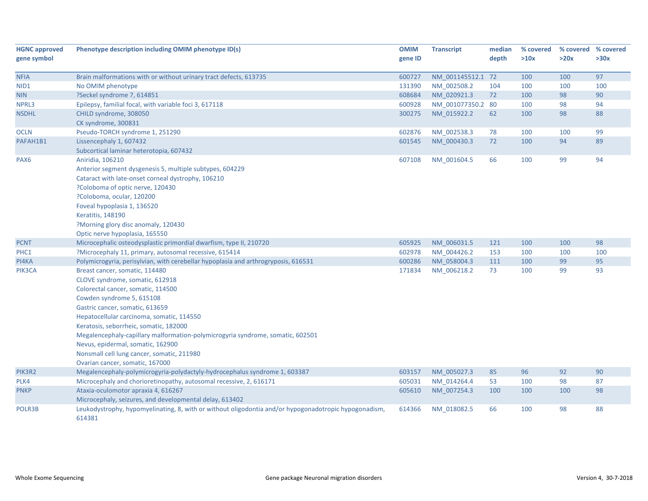| <b>HGNC approved</b> | Phenotype description including OMIM phenotype ID(s)                                                            | <b>OMIM</b> | <b>Transcript</b> | median | % covered |      | % covered % covered |
|----------------------|-----------------------------------------------------------------------------------------------------------------|-------------|-------------------|--------|-----------|------|---------------------|
| gene symbol          |                                                                                                                 | gene ID     |                   | depth  | >10x      | >20x | >30x                |
| <b>NFIA</b>          | Brain malformations with or without urinary tract defects, 613735                                               | 600727      | NM 001145512.1 72 |        | 100       | 100  | 97                  |
| NID1                 | No OMIM phenotype                                                                                               | 131390      | NM_002508.2       | 104    | 100       | 100  | 100                 |
| <b>NIN</b>           | ?Seckel syndrome 7, 614851                                                                                      | 608684      | NM_020921.3       | 72     | 100       | 98   | 90                  |
| NPRL3                | Epilepsy, familial focal, with variable foci 3, 617118                                                          | 600928      | NM 001077350.2 80 |        | 100       | 98   | 94                  |
| <b>NSDHL</b>         | CHILD syndrome, 308050                                                                                          | 300275      | NM 015922.2       | 62     | 100       | 98   | 88                  |
|                      | CK syndrome, 300831                                                                                             |             |                   |        |           |      |                     |
| <b>OCLN</b>          | Pseudo-TORCH syndrome 1, 251290                                                                                 | 602876      | NM_002538.3       | 78     | 100       | 100  | 99                  |
| PAFAH1B1             | Lissencephaly 1, 607432                                                                                         | 601545      | NM_000430.3       | 72     | 100       | 94   | 89                  |
|                      | Subcortical laminar heterotopia, 607432                                                                         |             |                   |        |           |      |                     |
| PAX <sub>6</sub>     | Aniridia, 106210                                                                                                | 607108      | NM_001604.5       | 66     | 100       | 99   | 94                  |
|                      | Anterior segment dysgenesis 5, multiple subtypes, 604229                                                        |             |                   |        |           |      |                     |
|                      | Cataract with late-onset corneal dystrophy, 106210                                                              |             |                   |        |           |      |                     |
|                      | ?Coloboma of optic nerve, 120430                                                                                |             |                   |        |           |      |                     |
|                      | ?Coloboma, ocular, 120200                                                                                       |             |                   |        |           |      |                     |
|                      | Foveal hypoplasia 1, 136520                                                                                     |             |                   |        |           |      |                     |
|                      | Keratitis, 148190                                                                                               |             |                   |        |           |      |                     |
|                      | ?Morning glory disc anomaly, 120430                                                                             |             |                   |        |           |      |                     |
|                      | Optic nerve hypoplasia, 165550                                                                                  |             |                   |        |           |      |                     |
| <b>PCNT</b>          | Microcephalic osteodysplastic primordial dwarfism, type II, 210720                                              | 605925      | NM_006031.5       | 121    | 100       | 100  | 98                  |
| PHC1                 | ?Microcephaly 11, primary, autosomal recessive, 615414                                                          | 602978      | NM_004426.2       | 153    | 100       | 100  | 100                 |
| PI4KA                | Polymicrogyria, perisylvian, with cerebellar hypoplasia and arthrogryposis, 616531                              | 600286      | NM_058004.3       | 111    | 100       | 99   | 95                  |
| PIK3CA               | Breast cancer, somatic, 114480                                                                                  | 171834      | NM 006218.2       | 73     | 100       | 99   | 93                  |
|                      | CLOVE syndrome, somatic, 612918                                                                                 |             |                   |        |           |      |                     |
|                      | Colorectal cancer, somatic, 114500                                                                              |             |                   |        |           |      |                     |
|                      | Cowden syndrome 5, 615108                                                                                       |             |                   |        |           |      |                     |
|                      | Gastric cancer, somatic, 613659                                                                                 |             |                   |        |           |      |                     |
|                      | Hepatocellular carcinoma, somatic, 114550                                                                       |             |                   |        |           |      |                     |
|                      | Keratosis, seborrheic, somatic, 182000                                                                          |             |                   |        |           |      |                     |
|                      | Megalencephaly-capillary malformation-polymicrogyria syndrome, somatic, 602501                                  |             |                   |        |           |      |                     |
|                      | Nevus, epidermal, somatic, 162900                                                                               |             |                   |        |           |      |                     |
|                      | Nonsmall cell lung cancer, somatic, 211980                                                                      |             |                   |        |           |      |                     |
|                      | Ovarian cancer, somatic, 167000                                                                                 |             |                   |        |           |      |                     |
| PIK3R2               | Megalencephaly-polymicrogyria-polydactyly-hydrocephalus syndrome 1, 603387                                      | 603157      | NM 005027.3       | 85     | 96        | 92   | 90                  |
| PLK4                 | Microcephaly and chorioretinopathy, autosomal recessive, 2, 616171                                              | 605031      | NM 014264.4       | 53     | 100       | 98   | 87                  |
| <b>PNKP</b>          | Ataxia-oculomotor apraxia 4, 616267                                                                             | 605610      | NM 007254.3       | 100    | 100       | 100  | 98                  |
|                      | Microcephaly, seizures, and developmental delay, 613402                                                         |             |                   |        |           |      |                     |
| POLR3B               | Leukodystrophy, hypomyelinating, 8, with or without oligodontia and/or hypogonadotropic hypogonadism,<br>614381 | 614366      | NM_018082.5       | 66     | 100       | 98   | 88                  |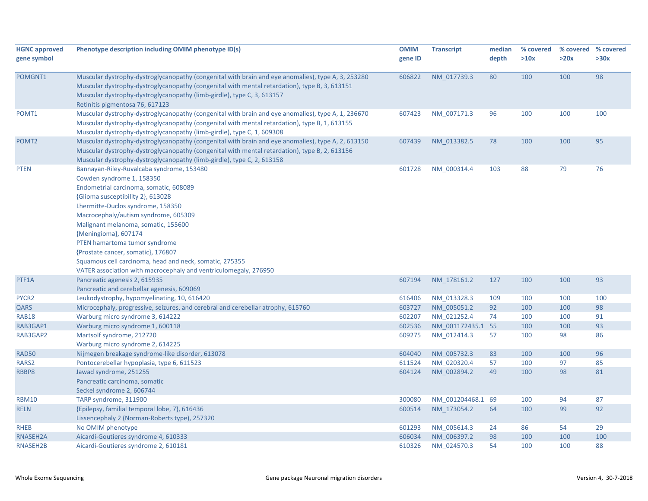| <b>HGNC approved</b> | Phenotype description including OMIM phenotype ID(s)                                               | <b>OMIM</b> | <b>Transcript</b> | median | % covered | % covered % covered |      |
|----------------------|----------------------------------------------------------------------------------------------------|-------------|-------------------|--------|-----------|---------------------|------|
| gene symbol          |                                                                                                    | gene ID     |                   | depth  | >10x      | >20x                | >30x |
| POMGNT1              | Muscular dystrophy-dystroglycanopathy (congenital with brain and eye anomalies), type A, 3, 253280 | 606822      | NM_017739.3       | 80     | 100       | 100                 | 98   |
|                      | Muscular dystrophy-dystroglycanopathy (congenital with mental retardation), type B, 3, 613151      |             |                   |        |           |                     |      |
|                      | Muscular dystrophy-dystroglycanopathy (limb-girdle), type C, 3, 613157                             |             |                   |        |           |                     |      |
|                      | Retinitis pigmentosa 76, 617123                                                                    |             |                   |        |           |                     |      |
| POMT1                | Muscular dystrophy-dystroglycanopathy (congenital with brain and eye anomalies), type A, 1, 236670 | 607423      | NM_007171.3       | 96     | 100       | 100                 | 100  |
|                      | Muscular dystrophy-dystroglycanopathy (congenital with mental retardation), type B, 1, 613155      |             |                   |        |           |                     |      |
|                      | Muscular dystrophy-dystroglycanopathy (limb-girdle), type C, 1, 609308                             |             |                   |        |           |                     |      |
| POMT <sub>2</sub>    | Muscular dystrophy-dystroglycanopathy (congenital with brain and eye anomalies), type A, 2, 613150 | 607439      | NM 013382.5       | 78     | 100       | 100                 | 95   |
|                      | Muscular dystrophy-dystroglycanopathy (congenital with mental retardation), type B, 2, 613156      |             |                   |        |           |                     |      |
|                      | Muscular dystrophy-dystroglycanopathy (limb-girdle), type C, 2, 613158                             |             |                   |        |           |                     |      |
| <b>PTEN</b>          | Bannayan-Riley-Ruvalcaba syndrome, 153480                                                          | 601728      | NM 000314.4       | 103    | 88        | 79                  | 76   |
|                      | Cowden syndrome 1, 158350                                                                          |             |                   |        |           |                     |      |
|                      | Endometrial carcinoma, somatic, 608089                                                             |             |                   |        |           |                     |      |
|                      | {Glioma susceptibility 2}, 613028                                                                  |             |                   |        |           |                     |      |
|                      | Lhermitte-Duclos syndrome, 158350                                                                  |             |                   |        |           |                     |      |
|                      | Macrocephaly/autism syndrome, 605309                                                               |             |                   |        |           |                     |      |
|                      | Malignant melanoma, somatic, 155600                                                                |             |                   |        |           |                     |      |
|                      | {Meningioma}, 607174                                                                               |             |                   |        |           |                     |      |
|                      | PTEN hamartoma tumor syndrome                                                                      |             |                   |        |           |                     |      |
|                      | {Prostate cancer, somatic}, 176807                                                                 |             |                   |        |           |                     |      |
|                      | Squamous cell carcinoma, head and neck, somatic, 275355                                            |             |                   |        |           |                     |      |
|                      | VATER association with macrocephaly and ventriculomegaly, 276950                                   |             |                   |        |           |                     |      |
| PTF1A                | Pancreatic agenesis 2, 615935                                                                      | 607194      | NM_178161.2       | 127    | 100       | 100                 | 93   |
|                      | Pancreatic and cerebellar agenesis, 609069                                                         |             |                   |        |           |                     |      |
| PYCR2                | Leukodystrophy, hypomyelinating, 10, 616420                                                        | 616406      | NM 013328.3       | 109    | 100       | 100                 | 100  |
| QARS                 | Microcephaly, progressive, seizures, and cerebral and cerebellar atrophy, 615760                   | 603727      | NM_005051.2       | 92     | 100       | 100                 | 98   |
| <b>RAB18</b>         | Warburg micro syndrome 3, 614222                                                                   | 602207      | NM 021252.4       | 74     | 100       | 100                 | 91   |
| RAB3GAP1             | Warburg micro syndrome 1, 600118                                                                   | 602536      | NM 001172435.1 55 |        | 100       | 100                 | 93   |
| RAB3GAP2             | Martsolf syndrome, 212720                                                                          | 609275      | NM_012414.3       | 57     | 100       | 98                  | 86   |
|                      | Warburg micro syndrome 2, 614225                                                                   |             |                   |        |           |                     |      |
| <b>RAD50</b>         | Nijmegen breakage syndrome-like disorder, 613078                                                   | 604040      | NM 005732.3       | 83     | 100       | 100                 | 96   |
| RARS2                | Pontocerebellar hypoplasia, type 6, 611523                                                         | 611524      | NM_020320.4       | 57     | 100       | 97                  | 85   |
| RBBP8                | Jawad syndrome, 251255                                                                             | 604124      | NM 002894.2       | 49     | 100       | 98                  | 81   |
|                      | Pancreatic carcinoma, somatic                                                                      |             |                   |        |           |                     |      |
|                      | Seckel syndrome 2, 606744                                                                          |             |                   |        |           |                     |      |
| <b>RBM10</b>         | TARP syndrome, 311900                                                                              | 300080      | NM_001204468.1 69 |        | 100       | 94                  | 87   |
| <b>RELN</b>          | {Epilepsy, familial temporal lobe, 7}, 616436                                                      | 600514      | NM 173054.2       | 64     | 100       | 99                  | 92   |
|                      | Lissencephaly 2 (Norman-Roberts type), 257320                                                      |             |                   |        |           |                     |      |
| <b>RHEB</b>          | No OMIM phenotype                                                                                  | 601293      | NM 005614.3       | 24     | 86        | 54                  | 29   |
| RNASEH2A             | Aicardi-Goutieres syndrome 4, 610333                                                               | 606034      | NM 006397.2       | 98     | 100       | 100                 | 100  |
| RNASEH2B             | Aicardi-Goutieres syndrome 2, 610181                                                               | 610326      | NM 024570.3       | 54     | 100       | 100                 | 88   |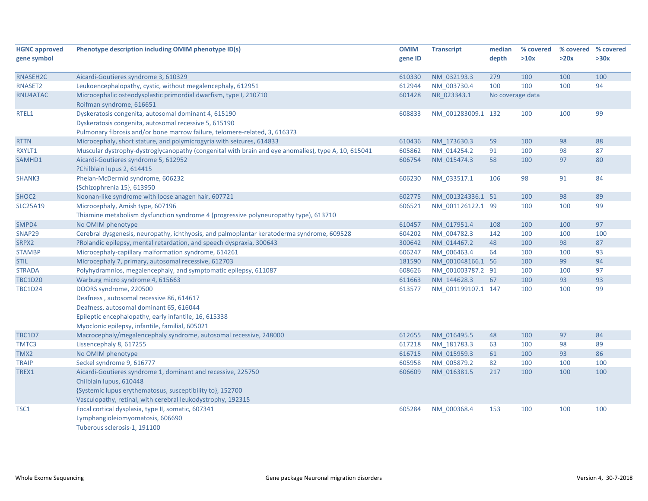| <b>HGNC approved</b> | Phenotype description including OMIM phenotype ID(s)                                                                                                                                                                      | <b>OMIM</b> | <b>Transcript</b>  | median           | % covered | % covered % covered |      |
|----------------------|---------------------------------------------------------------------------------------------------------------------------------------------------------------------------------------------------------------------------|-------------|--------------------|------------------|-----------|---------------------|------|
| gene symbol          |                                                                                                                                                                                                                           | gene ID     |                    | depth            | >10x      | >20x                | >30x |
|                      |                                                                                                                                                                                                                           |             |                    |                  |           |                     |      |
| RNASEH2C             | Aicardi-Goutieres syndrome 3, 610329                                                                                                                                                                                      | 610330      | NM 032193.3        | 279              | 100       | 100                 | 100  |
| RNASET2              | Leukoencephalopathy, cystic, without megalencephaly, 612951                                                                                                                                                               | 612944      | NM 003730.4        | 100              | 100       | 100                 | 94   |
| RNU4ATAC             | Microcephalic osteodysplastic primordial dwarfism, type I, 210710<br>Roifman syndrome, 616651                                                                                                                             | 601428      | NR 023343.1        | No coverage data |           |                     |      |
| RTEL1                | Dyskeratosis congenita, autosomal dominant 4, 615190<br>Dyskeratosis congenita, autosomal recessive 5, 615190<br>Pulmonary fibrosis and/or bone marrow failure, telomere-related, 3, 616373                               | 608833      | NM_001283009.1 132 |                  | 100       | 100                 | 99   |
| <b>RTTN</b>          | Microcephaly, short stature, and polymicrogyria with seizures, 614833                                                                                                                                                     | 610436      | NM 173630.3        | 59               | 100       | 98                  | 88   |
| RXYLT1               | Muscular dystrophy-dystroglycanopathy (congenital with brain and eye anomalies), type A, 10, 615041                                                                                                                       | 605862      | NM 014254.2        | 91               | 100       | 98                  | 87   |
| SAMHD1               | Aicardi-Goutieres syndrome 5, 612952<br>?Chilblain lupus 2, 614415                                                                                                                                                        | 606754      | NM 015474.3        | 58               | 100       | 97                  | 80   |
| SHANK3               | Phelan-McDermid syndrome, 606232<br>{Schizophrenia 15}, 613950                                                                                                                                                            | 606230      | NM 033517.1        | 106              | 98        | 91                  | 84   |
| SHOC <sub>2</sub>    | Noonan-like syndrome with loose anagen hair, 607721                                                                                                                                                                       | 602775      | NM 001324336.1 51  |                  | 100       | 98                  | 89   |
| <b>SLC25A19</b>      | Microcephaly, Amish type, 607196<br>Thiamine metabolism dysfunction syndrome 4 (progressive polyneuropathy type), 613710                                                                                                  | 606521      | NM_001126122.1 99  |                  | 100       | 100                 | 99   |
| SMPD4                | No OMIM phenotype                                                                                                                                                                                                         | 610457      | NM 017951.4        | 108              | 100       | 100                 | 97   |
| SNAP29               | Cerebral dysgenesis, neuropathy, ichthyosis, and palmoplantar keratoderma syndrome, 609528                                                                                                                                | 604202      | NM_004782.3        | 142              | 100       | 100                 | 100  |
| SRPX2                | ?Rolandic epilepsy, mental retardation, and speech dyspraxia, 300643                                                                                                                                                      | 300642      | NM 014467.2        | 48               | 100       | 98                  | 87   |
| <b>STAMBP</b>        | Microcephaly-capillary malformation syndrome, 614261                                                                                                                                                                      | 606247      | NM_006463.4        | 64               | 100       | 100                 | 93   |
| <b>STIL</b>          | Microcephaly 7, primary, autosomal recessive, 612703                                                                                                                                                                      | 181590      | NM 001048166.1 56  |                  | 100       | 99                  | 94   |
| <b>STRADA</b>        | Polyhydramnios, megalencephaly, and symptomatic epilepsy, 611087                                                                                                                                                          | 608626      | NM 001003787.2 91  |                  | 100       | 100                 | 97   |
| <b>TBC1D20</b>       | Warburg micro syndrome 4, 615663                                                                                                                                                                                          | 611663      | NM 144628.3        | 67               | 100       | 93                  | 93   |
| <b>TBC1D24</b>       | DOORS syndrome, 220500<br>Deafness, autosomal recessive 86, 614617<br>Deafness, autosomal dominant 65, 616044<br>Epileptic encephalopathy, early infantile, 16, 615338<br>Myoclonic epilepsy, infantile, familial, 605021 | 613577      | NM 001199107.1 147 |                  | 100       | 100                 | 99   |
| <b>TBC1D7</b>        | Macrocephaly/megalencephaly syndrome, autosomal recessive, 248000                                                                                                                                                         | 612655      | NM 016495.5        | 48               | 100       | 97                  | 84   |
| TMTC3                | Lissencephaly 8, 617255                                                                                                                                                                                                   | 617218      | NM 181783.3        | 63               | 100       | 98                  | 89   |
| TMX2                 | No OMIM phenotype                                                                                                                                                                                                         | 616715      | NM 015959.3        | 61               | 100       | 93                  | 86   |
| <b>TRAIP</b>         | Seckel syndrome 9, 616777                                                                                                                                                                                                 | 605958      | NM 005879.2        | 82               | 100       | 100                 | 100  |
| TREX1                | Aicardi-Goutieres syndrome 1, dominant and recessive, 225750<br>Chilblain lupus, 610448<br>{Systemic lupus erythematosus, susceptibility to}, 152700<br>Vasculopathy, retinal, with cerebral leukodystrophy, 192315       | 606609      | NM_016381.5        | 217              | 100       | 100                 | 100  |
| TSC1                 | Focal cortical dysplasia, type II, somatic, 607341<br>Lymphangioleiomyomatosis, 606690<br>Tuberous sclerosis-1, 191100                                                                                                    | 605284      | NM_000368.4        | 153              | 100       | 100                 | 100  |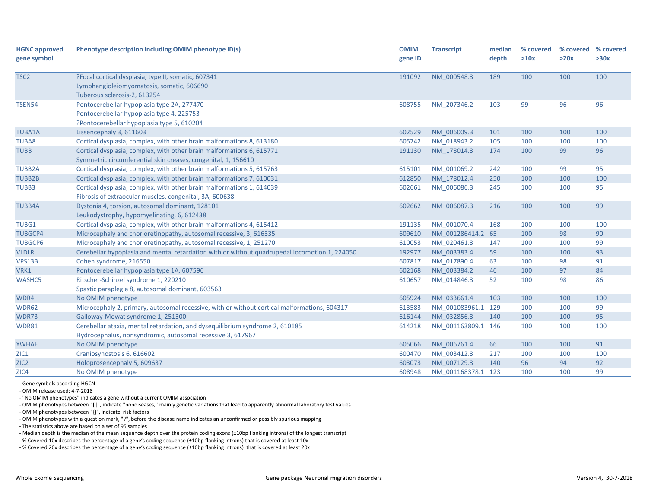| <b>HGNC approved</b> | Phenotype description including OMIM phenotype ID(s)                                          | <b>OMIM</b> | <b>Transcript</b>  | median | % covered | % covered | % covered |
|----------------------|-----------------------------------------------------------------------------------------------|-------------|--------------------|--------|-----------|-----------|-----------|
| gene symbol          |                                                                                               | gene ID     |                    | depth  | >10x      | >20x      | >30x      |
|                      |                                                                                               |             |                    |        |           |           |           |
| TSC <sub>2</sub>     | ?Focal cortical dysplasia, type II, somatic, 607341                                           | 191092      | NM 000548.3        | 189    | 100       | 100       | 100       |
|                      | Lymphangioleiomyomatosis, somatic, 606690                                                     |             |                    |        |           |           |           |
|                      | Tuberous sclerosis-2, 613254                                                                  |             |                    |        |           |           |           |
| <b>TSEN54</b>        | Pontocerebellar hypoplasia type 2A, 277470                                                    | 608755      | NM 207346.2        | 103    | 99        | 96        | 96        |
|                      | Pontocerebellar hypoplasia type 4, 225753                                                     |             |                    |        |           |           |           |
|                      | ?Pontocerebellar hypoplasia type 5, 610204                                                    |             |                    |        |           |           |           |
| <b>TUBA1A</b>        | Lissencephaly 3, 611603                                                                       | 602529      | NM 006009.3        | 101    | 100       | 100       | 100       |
| <b>TUBA8</b>         | Cortical dysplasia, complex, with other brain malformations 8, 613180                         | 605742      | NM 018943.2        | 105    | 100       | 100       | 100       |
| <b>TUBB</b>          | Cortical dysplasia, complex, with other brain malformations 6, 615771                         | 191130      | NM 178014.3        | 174    | 100       | 99        | 96        |
|                      | Symmetric circumferential skin creases, congenital, 1, 156610                                 |             |                    |        |           |           |           |
| <b>TUBB2A</b>        | Cortical dysplasia, complex, with other brain malformations 5, 615763                         | 615101      | NM_001069.2        | 242    | 100       | 99        | 95        |
| <b>TUBB2B</b>        | Cortical dysplasia, complex, with other brain malformations 7, 610031                         | 612850      | NM 178012.4        | 250    | 100       | 100       | 100       |
| TUBB3                | Cortical dysplasia, complex, with other brain malformations 1, 614039                         | 602661      | NM 006086.3        | 245    | 100       | 100       | 95        |
|                      | Fibrosis of extraocular muscles, congenital, 3A, 600638                                       |             |                    |        |           |           |           |
| <b>TUBB4A</b>        | Dystonia 4, torsion, autosomal dominant, 128101                                               | 602662      | NM 006087.3        | 216    | 100       | 100       | 99        |
|                      | Leukodystrophy, hypomyelinating, 6, 612438                                                    |             |                    |        |           |           |           |
| TUBG1                | Cortical dysplasia, complex, with other brain malformations 4, 615412                         | 191135      | NM_001070.4        | 168    | 100       | 100       | 100       |
| <b>TUBGCP4</b>       | Microcephaly and chorioretinopathy, autosomal recessive, 3, 616335                            | 609610      | NM 001286414.2 65  |        | 100       | 98        | 90        |
| <b>TUBGCP6</b>       | Microcephaly and chorioretinopathy, autosomal recessive, 1, 251270                            | 610053      | NM_020461.3        | 147    | 100       | 100       | 99        |
| <b>VLDLR</b>         | Cerebellar hypoplasia and mental retardation with or without quadrupedal locomotion 1, 224050 | 192977      | NM 003383.4        | 59     | 100       | 100       | 93        |
| VPS13B               | Cohen syndrome, 216550                                                                        | 607817      | NM 017890.4        | 63     | 100       | 98        | 91        |
| VRK1                 | Pontocerebellar hypoplasia type 1A, 607596                                                    | 602168      | NM 003384.2        | 46     | 100       | 97        | 84        |
| <b>WASHC5</b>        | Ritscher-Schinzel syndrome 1, 220210                                                          | 610657      | NM_014846.3        | 52     | 100       | 98        | 86        |
|                      | Spastic paraplegia 8, autosomal dominant, 603563                                              |             |                    |        |           |           |           |
| WDR4                 | No OMIM phenotype                                                                             | 605924      | NM 033661.4        | 103    | 100       | 100       | 100       |
| WDR62                | Microcephaly 2, primary, autosomal recessive, with or without cortical malformations, 604317  | 613583      | NM_001083961.1 129 |        | 100       | 100       | 99        |
| WDR73                | Galloway-Mowat syndrome 1, 251300                                                             | 616144      | NM 032856.3        | 140    | 100       | 100       | 95        |
| WDR81                | Cerebellar ataxia, mental retardation, and dysequilibrium syndrome 2, 610185                  | 614218      | NM_001163809.1 146 |        | 100       | 100       | 100       |
|                      | Hydrocephalus, nonsyndromic, autosomal recessive 3, 617967                                    |             |                    |        |           |           |           |
| <b>YWHAE</b>         | No OMIM phenotype                                                                             | 605066      | NM 006761.4        | 66     | 100       | 100       | 91        |
| ZIC1                 | Craniosynostosis 6, 616602                                                                    | 600470      | NM_003412.3        | 217    | 100       | 100       | 100       |
| ZIC <sub>2</sub>     | Holoprosencephaly 5, 609637                                                                   | 603073      | NM 007129.3        | 140    | 96        | 94        | 92        |
| ZIC4                 | No OMIM phenotype                                                                             | 608948      | NM 001168378.1 123 |        | 100       | 100       | 99        |

‐ Gene symbols according HGCN

‐ OMIM release used: 4‐7‐2018

‐ "No OMIM phenotypes" indicates <sup>a</sup> gene without <sup>a</sup> current OMIM association

‐ OMIM phenotypes between "[ ]", indicate "nondiseases," mainly genetic variations that lead to apparently abnormal laboratory test values

‐ OMIM phenotypes between "{}", indicate risk factors

‐ OMIM phenotypes with <sup>a</sup> question mark, "?", before the disease name indicates an unconfirmed or possibly spurious mapping

‐ The statistics above are based on <sup>a</sup> set of 95 samples

‐ Median depth is the median of the mean sequence depth over the protein coding exons (±10bp flanking introns) of the longest transcript

‐ % Covered 10x describes the percentage of <sup>a</sup> gene's coding sequence (±10bp flanking introns) that is covered at least 10x

‐ % Covered 20x describes the percentage of <sup>a</sup> gene's coding sequence (±10bp flanking introns) that is covered at least 20x